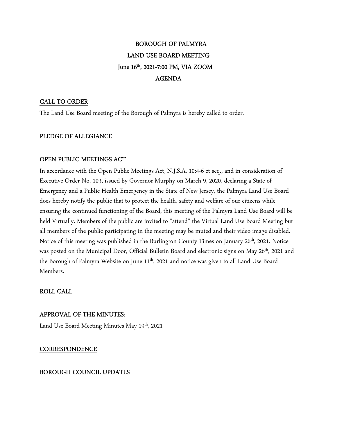# BOROUGH OF PALMYRA LAND USE BOARD MEETING June 16<sup>th</sup>, 2021-7:00 PM, VIA ZOOM AGENDA

# CALL TO ORDER

The Land Use Board meeting of the Borough of Palmyra is hereby called to order.

# PLEDGE OF ALLEGIANCE

# OPEN PUBLIC MEETINGS ACT

In accordance with the Open Public Meetings Act, N.J.S.A. 10:4-6 et seq., and in consideration of Executive Order No. 103, issued by Governor Murphy on March 9, 2020, declaring a State of Emergency and a Public Health Emergency in the State of New Jersey, the Palmyra Land Use Board does hereby notify the public that to protect the health, safety and welfare of our citizens while ensuring the continued functioning of the Board, this meeting of the Palmyra Land Use Board will be held Virtually. Members of the public are invited to "attend" the Virtual Land Use Board Meeting but all members of the public participating in the meeting may be muted and their video image disabled. Notice of this meeting was published in the Burlington County Times on January 26<sup>th</sup>, 2021. Notice was posted on the Municipal Door, Official Bulletin Board and electronic signs on May 26<sup>th</sup>, 2021 and the Borough of Palmyra Website on June 11<sup>th</sup>, 2021 and notice was given to all Land Use Board Members.

# ROLL CALL

# APPROVAL OF THE MINUTES:

Land Use Board Meeting Minutes May 19<sup>th</sup>, 2021

# **CORRESPONDENCE**

# BOROUGH COUNCIL UPDATES